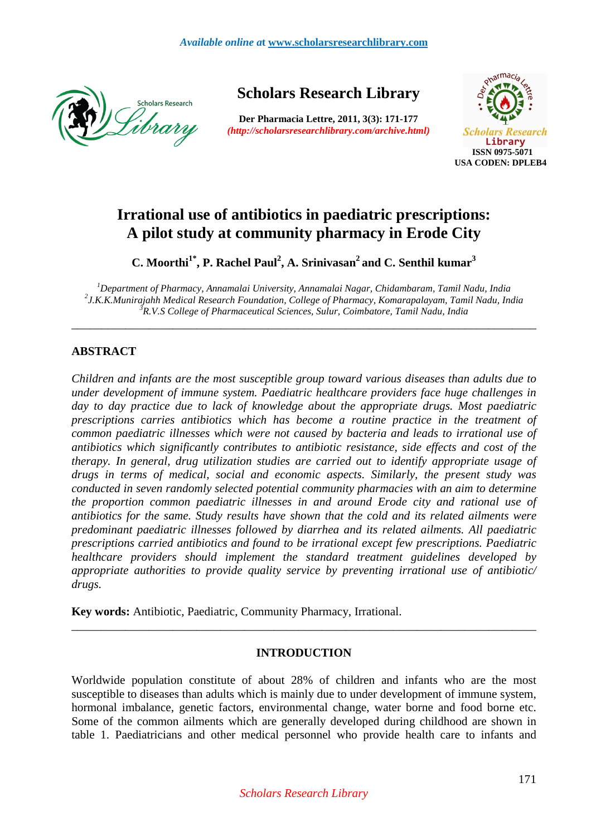

**Scholars Research Library** 

**Der Pharmacia Lettre, 2011, 3(3): 171-177** *(http://scholarsresearchlibrary.com/archive.html)*



# **Irrational use of antibiotics in paediatric prescriptions: A pilot study at community pharmacy in Erode City**

**C. Moorthi1\*, P. Rachel Paul<sup>2</sup> , A. Srinivasan<sup>2</sup>and C. Senthil kumar<sup>3</sup>**

*<sup>1</sup>Department of Pharmacy, Annamalai University, Annamalai Nagar, Chidambaram, Tamil Nadu, India 2 J.K.K.Munirajahh Medical Research Foundation, College of Pharmacy, Komarapalayam, Tamil Nadu, India <sup>3</sup>R.V.S College of Pharmaceutical Sciences, Sulur, Coimbatore, Tamil Nadu, India* 

\_\_\_\_\_\_\_\_\_\_\_\_\_\_\_\_\_\_\_\_\_\_\_\_\_\_\_\_\_\_\_\_\_\_\_\_\_\_\_\_\_\_\_\_\_\_\_\_\_\_\_\_\_\_\_\_\_\_\_\_\_\_\_\_\_\_\_\_\_\_\_\_\_\_\_\_\_\_

# **ABSTRACT**

*Children and infants are the most susceptible group toward various diseases than adults due to under development of immune system. Paediatric healthcare providers face huge challenges in day to day practice due to lack of knowledge about the appropriate drugs. Most paediatric prescriptions carries antibiotics which has become a routine practice in the treatment of common paediatric illnesses which were not caused by bacteria and leads to irrational use of antibiotics which significantly contributes to antibiotic resistance, side effects and cost of the therapy. In general, drug utilization studies are carried out to identify appropriate usage of drugs in terms of medical, social and economic aspects. Similarly, the present study was conducted in seven randomly selected potential community pharmacies with an aim to determine the proportion common paediatric illnesses in and around Erode city and rational use of antibiotics for the same. Study results have shown that the cold and its related ailments were predominant paediatric illnesses followed by diarrhea and its related ailments. All paediatric prescriptions carried antibiotics and found to be irrational except few prescriptions. Paediatric healthcare providers should implement the standard treatment guidelines developed by appropriate authorities to provide quality service by preventing irrational use of antibiotic/ drugs.* 

**Key words:** Antibiotic, Paediatric, Community Pharmacy, Irrational.

# **INTRODUCTION**

\_\_\_\_\_\_\_\_\_\_\_\_\_\_\_\_\_\_\_\_\_\_\_\_\_\_\_\_\_\_\_\_\_\_\_\_\_\_\_\_\_\_\_\_\_\_\_\_\_\_\_\_\_\_\_\_\_\_\_\_\_\_\_\_\_\_\_\_\_\_\_\_\_\_\_\_\_\_

Worldwide population constitute of about 28% of children and infants who are the most susceptible to diseases than adults which is mainly due to under development of immune system, hormonal imbalance, genetic factors, environmental change, water borne and food borne etc. Some of the common ailments which are generally developed during childhood are shown in table 1. Paediatricians and other medical personnel who provide health care to infants and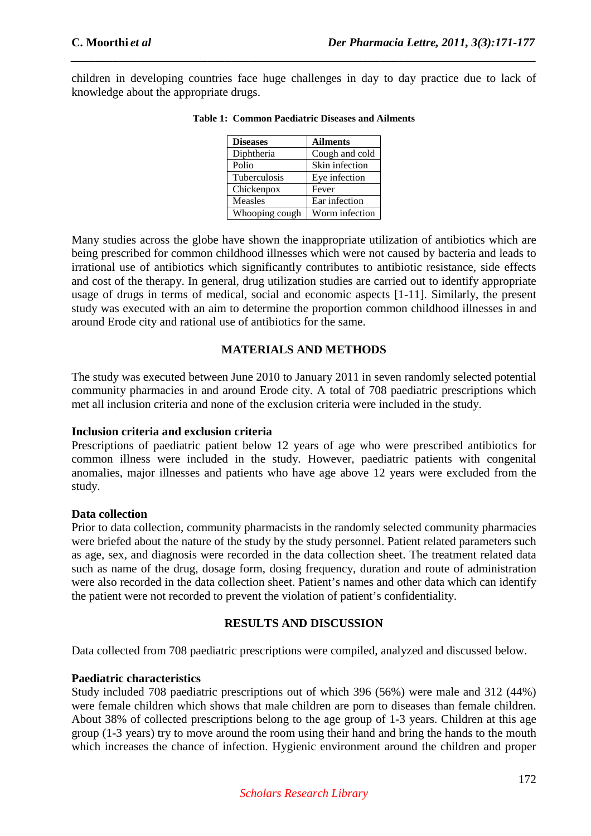children in developing countries face huge challenges in day to day practice due to lack of knowledge about the appropriate drugs.

*\_\_\_\_\_\_\_\_\_\_\_\_\_\_\_\_\_\_\_\_\_\_\_\_\_\_\_\_\_\_\_\_\_\_\_\_\_\_\_\_\_\_\_\_\_\_\_\_\_\_\_\_\_\_\_\_\_\_\_\_\_\_\_\_\_\_\_\_\_\_\_\_\_\_\_\_\_\_*

| <b>Diseases</b> | <b>Ailments</b> |
|-----------------|-----------------|
| Diphtheria      | Cough and cold  |
| Polio           | Skin infection  |
| Tuberculosis    | Eye infection   |
| Chickenpox      | Fever           |
| Measles         | Ear infection   |
| Whooping cough  | Worm infection  |

#### **Table 1: Common Paediatric Diseases and Ailments**

Many studies across the globe have shown the inappropriate utilization of antibiotics which are being prescribed for common childhood illnesses which were not caused by bacteria and leads to irrational use of antibiotics which significantly contributes to antibiotic resistance, side effects and cost of the therapy. In general, drug utilization studies are carried out to identify appropriate usage of drugs in terms of medical, social and economic aspects [1-11]. Similarly, the present study was executed with an aim to determine the proportion common childhood illnesses in and around Erode city and rational use of antibiotics for the same.

# **MATERIALS AND METHODS**

The study was executed between June 2010 to January 2011 in seven randomly selected potential community pharmacies in and around Erode city. A total of 708 paediatric prescriptions which met all inclusion criteria and none of the exclusion criteria were included in the study.

## **Inclusion criteria and exclusion criteria**

Prescriptions of paediatric patient below 12 years of age who were prescribed antibiotics for common illness were included in the study. However, paediatric patients with congenital anomalies, major illnesses and patients who have age above 12 years were excluded from the study.

## **Data collection**

Prior to data collection, community pharmacists in the randomly selected community pharmacies were briefed about the nature of the study by the study personnel. Patient related parameters such as age, sex, and diagnosis were recorded in the data collection sheet. The treatment related data such as name of the drug, dosage form, dosing frequency, duration and route of administration were also recorded in the data collection sheet. Patient's names and other data which can identify the patient were not recorded to prevent the violation of patient's confidentiality.

# **RESULTS AND DISCUSSION**

Data collected from 708 paediatric prescriptions were compiled, analyzed and discussed below.

## **Paediatric characteristics**

Study included 708 paediatric prescriptions out of which 396 (56%) were male and 312 (44%) were female children which shows that male children are porn to diseases than female children. About 38% of collected prescriptions belong to the age group of 1-3 years. Children at this age group (1-3 years) try to move around the room using their hand and bring the hands to the mouth which increases the chance of infection. Hygienic environment around the children and proper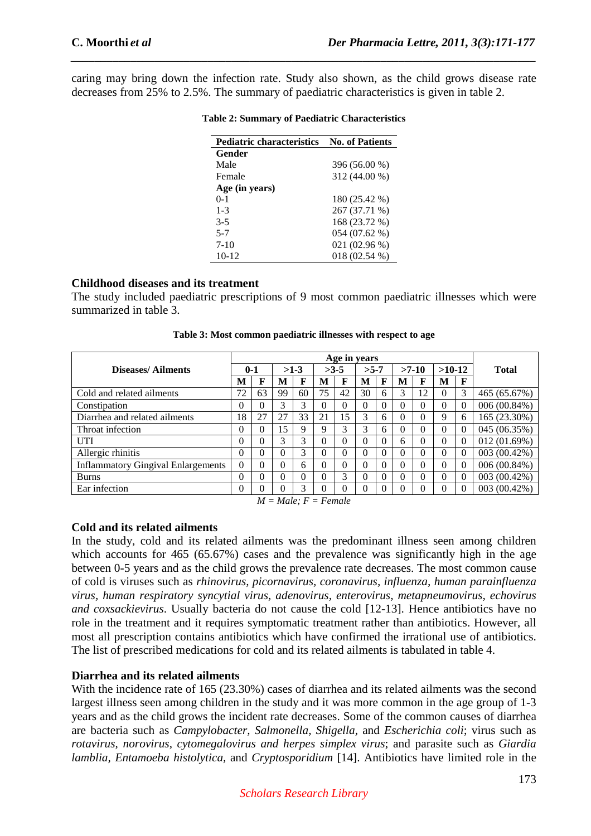caring may bring down the infection rate. Study also shown, as the child grows disease rate decreases from 25% to 2.5%. The summary of paediatric characteristics is given in table 2.

*\_\_\_\_\_\_\_\_\_\_\_\_\_\_\_\_\_\_\_\_\_\_\_\_\_\_\_\_\_\_\_\_\_\_\_\_\_\_\_\_\_\_\_\_\_\_\_\_\_\_\_\_\_\_\_\_\_\_\_\_\_\_\_\_\_\_\_\_\_\_\_\_\_\_\_\_\_\_*

| <b>Pediatric characteristics</b> | <b>No. of Patients</b> |
|----------------------------------|------------------------|
| Gender                           |                        |
| Male                             | 396 (56.00 %)          |
| Female                           | 312 (44.00 %)          |
| Age (in years)                   |                        |
| $0 - 1$                          | 180 (25.42 %)          |
| $1 - 3$                          | 267 (37.71 %)          |
| $3 - 5$                          | 168 (23.72 %)          |
| $5 - 7$                          | 054 (07.62 %)          |
| $7-10$                           | 021 (02.96 %)          |
| $10-12$                          | 018 (02.54 %)          |

## **Table 2: Summary of Paediatric Characteristics**

## **Childhood diseases and its treatment**

The study included paediatric prescriptions of 9 most common paediatric illnesses which were summarized in table 3.

|                                           | Age in years |          |          |          |          |          |        |          |          |          |          |          |              |
|-------------------------------------------|--------------|----------|----------|----------|----------|----------|--------|----------|----------|----------|----------|----------|--------------|
| Diseases/Ailments                         |              | $0 - 1$  |          | $>1-3$   |          | $>3-5$   | $>5-7$ |          |          | $>7-10$  | $>10-12$ |          | <b>Total</b> |
|                                           | M            | F        | M        | F        | M        | F        | М      | F        | M        | F        | M        | F        |              |
| Cold and related ailments                 | 72           | 63       | 99       | 60       | 75       | 42       | 30     | 6        | 3        | 12       | $\theta$ | 3        | 465 (65.67%) |
| Constipation                              | $\Omega$     | $\Omega$ | 3        | 3        | $\Omega$ | 0        | 0      | 0        | 0        | $\theta$ | 0        | $\Omega$ | 006 (00.84%) |
| Diarrhea and related ailments             | 18           | 27       | 27       | 33       | 21       | 15       | 3      | 6        | 0        | $\theta$ | 9        | 6        | 165 (23.30%) |
| Throat infection                          | $\Omega$     | $\Omega$ | 15       | 9        | 9        | 3        | 3      | 6        | 0        | 0        | 0        | $\Omega$ | 045 (06.35%) |
| UTI                                       | $\theta$     | $\theta$ | 3        | 3        | $\theta$ | 0        | 0      | $\Omega$ | 6        | 0        | 0        | $\Omega$ | 012(01.69%)  |
| Allergic rhinitis                         | $\theta$     | $\Omega$ | $\Omega$ | 3        | $\theta$ | $\Omega$ | 0      | $\Omega$ | $\Omega$ | $\theta$ | 0        | $\Omega$ | 003 (00.42%) |
| <b>Inflammatory Gingival Enlargements</b> | $\Omega$     | $\theta$ | $\Omega$ | 6        | $\theta$ | 0        | 0      | 0        | 0        | $\theta$ | 0        | $\Omega$ | 006(00.84%)  |
| <b>Burns</b>                              | $\theta$     | $\theta$ | $\Omega$ | $\Omega$ | $\theta$ | 3        | 0      | 0        | 0        | $\theta$ | 0        | $\Omega$ | 003 (00.42%) |
| Ear infection                             | $\theta$     | $\theta$ | 0        | 3        | 0        |          | 0      | 0        | 0        | 0        | 0        | $\Omega$ | 003 (00.42%) |
| $M = Male$ : $F = Female$                 |              |          |          |          |          |          |        |          |          |          |          |          |              |

**Table 3: Most common paediatric illnesses with respect to age** 

# **Cold and its related ailments**

In the study, cold and its related ailments was the predominant illness seen among children which accounts for 465 (65.67%) cases and the prevalence was significantly high in the age between 0-5 years and as the child grows the prevalence rate decreases. The most common cause of cold is viruses such as *rhinovirus, picornavirus, coronavirus, influenza, human parainfluenza virus, human respiratory syncytial virus, adenovirus, enterovirus, metapneumovirus, echovirus and coxsackievirus*. Usually bacteria do not cause the cold [12-13]. Hence antibiotics have no role in the treatment and it requires symptomatic treatment rather than antibiotics. However, all most all prescription contains antibiotics which have confirmed the irrational use of antibiotics. The list of prescribed medications for cold and its related ailments is tabulated in table 4.

# **Diarrhea and its related ailments**

With the incidence rate of 165 (23.30%) cases of diarrhea and its related ailments was the second largest illness seen among children in the study and it was more common in the age group of 1-3 years and as the child grows the incident rate decreases. Some of the common causes of diarrhea are bacteria such as *Campylobacter, Salmonella, Shigella,* and *Escherichia coli*; virus such as *rotavirus, norovirus, cytomegalovirus and herpes simplex virus*; and parasite such as *Giardia lamblia, Entamoeba histolytica,* and *Cryptosporidium* [14]. Antibiotics have limited role in the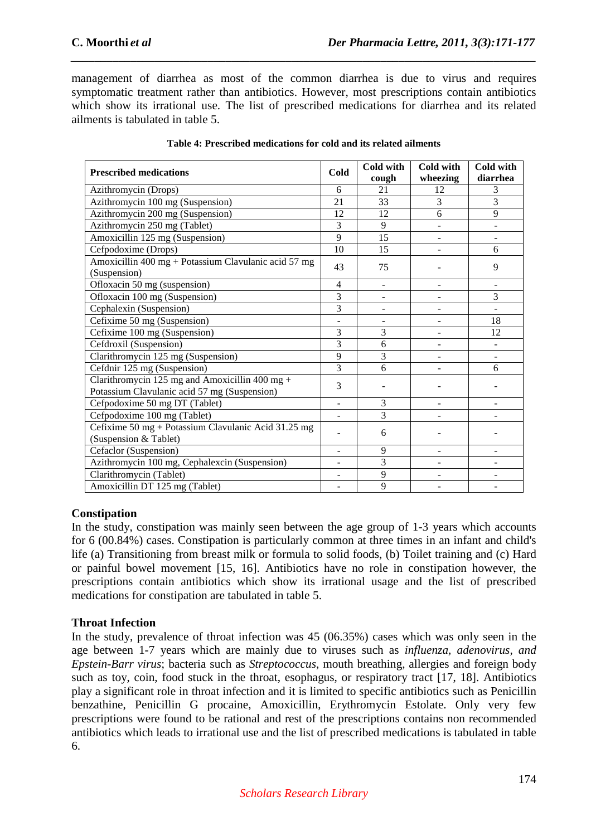management of diarrhea as most of the common diarrhea is due to virus and requires symptomatic treatment rather than antibiotics. However, most prescriptions contain antibiotics which show its irrational use. The list of prescribed medications for diarrhea and its related ailments is tabulated in table 5.

*\_\_\_\_\_\_\_\_\_\_\_\_\_\_\_\_\_\_\_\_\_\_\_\_\_\_\_\_\_\_\_\_\_\_\_\_\_\_\_\_\_\_\_\_\_\_\_\_\_\_\_\_\_\_\_\_\_\_\_\_\_\_\_\_\_\_\_\_\_\_\_\_\_\_\_\_\_\_*

| <b>Prescribed medications</b>                        |                          | Cold with                | Cold with | Cold with |
|------------------------------------------------------|--------------------------|--------------------------|-----------|-----------|
|                                                      | <b>Cold</b>              | cough                    | wheezing  | diarrhea  |
| Azithromycin (Drops)                                 | 6                        | 21                       | 12        | 3         |
| Azithromycin 100 mg (Suspension)                     | 21                       | 33                       | 3         | 3         |
| Azithromycin 200 mg (Suspension)                     | 12                       | 12                       | 6         | 9         |
| Azithromycin 250 mg (Tablet)                         | 3                        | 9                        | ÷         |           |
| Amoxicillin 125 mg (Suspension)                      | 9                        | 15                       | ÷         |           |
| Cefpodoxime (Drops)                                  | 10                       | 15                       |           | 6         |
| Amoxicillin 400 mg + Potassium Clavulanic acid 57 mg | 43                       | 75                       |           | 9         |
| (Suspension)                                         |                          |                          |           |           |
| Ofloxacin 50 mg (suspension)                         | $\overline{4}$           |                          |           |           |
| Ofloxacin 100 mg (Suspension)                        | 3                        | $\overline{\phantom{0}}$ |           | 3         |
| Cephalexin (Suspension)                              | 3                        | $\overline{\phantom{0}}$ |           |           |
| Cefixime 50 mg (Suspension)                          |                          |                          |           | 18        |
| Cefixime 100 mg (Suspension)                         | 3                        | 3                        |           | 12        |
| Cefdroxil (Suspension)                               | 3                        | 6                        |           |           |
| Clarithromycin 125 mg (Suspension)                   | 9                        | 3                        |           |           |
| Cefdnir 125 mg (Suspension)                          | 3                        | 6                        |           | 6         |
| Clarithromycin 125 mg and Amoxicillin 400 mg +       | 3                        |                          |           |           |
| Potassium Clavulanic acid 57 mg (Suspension)         |                          |                          |           |           |
| Cefpodoxime 50 mg DT (Tablet)                        | $\overline{\phantom{m}}$ | 3                        |           |           |
| Cefpodoxime 100 mg (Tablet)                          | $\overline{\phantom{0}}$ | $\overline{3}$           |           |           |
| Cefixime 50 mg + Potassium Clavulanic Acid 31.25 mg  |                          | 6                        |           |           |
| (Suspension & Tablet)                                |                          |                          |           |           |
| Cefaclor (Suspension)                                |                          | 9                        |           |           |
| Azithromycin 100 mg, Cephalexcin (Suspension)        |                          | 3                        |           |           |
| Clarithromycin (Tablet)                              |                          | 9                        |           |           |
| Amoxicillin DT 125 mg (Tablet)                       |                          | 9                        |           |           |

#### **Table 4: Prescribed medications for cold and its related ailments**

## **Constipation**

In the study, constipation was mainly seen between the age group of 1-3 years which accounts for 6 (00.84%) cases. Constipation is particularly common at three times in an infant and child's life (a) Transitioning from breast milk or formula to solid foods, (b) Toilet training and (c) Hard or painful bowel movement [15, 16]. Antibiotics have no role in constipation however, the prescriptions contain antibiotics which show its irrational usage and the list of prescribed medications for constipation are tabulated in table 5.

# **Throat Infection**

In the study, prevalence of throat infection was 45 (06.35%) cases which was only seen in the age between 1-7 years which are mainly due to viruses such as *influenza, adenovirus, and Epstein-Barr virus*; bacteria such as *Streptococcus*, mouth breathing, allergies and foreign body such as toy, coin, food stuck in the throat, esophagus, or respiratory tract [17, 18]. Antibiotics play a significant role in throat infection and it is limited to specific antibiotics such as Penicillin benzathine, Penicillin G procaine, Amoxicillin, Erythromycin Estolate. Only very few prescriptions were found to be rational and rest of the prescriptions contains non recommended antibiotics which leads to irrational use and the list of prescribed medications is tabulated in table 6.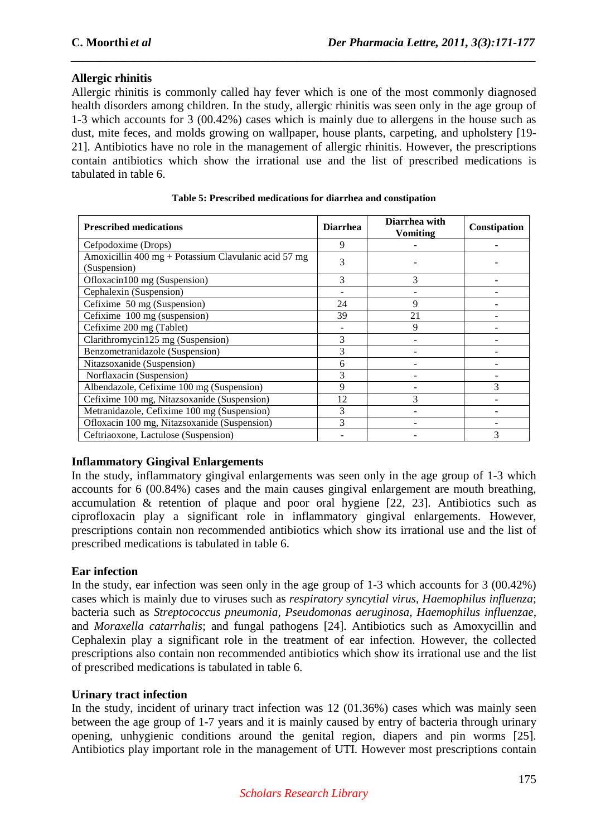# **Allergic rhinitis**

Allergic rhinitis is commonly called hay fever which is one of the most commonly diagnosed health disorders among children. In the study, allergic rhinitis was seen only in the age group of 1-3 which accounts for 3 (00.42%) cases which is mainly due to allergens in the house such as dust, mite feces, and molds growing on wallpaper, house plants, carpeting, and upholstery [19- 21]. Antibiotics have no role in the management of allergic rhinitis. However, the prescriptions contain antibiotics which show the irrational use and the list of prescribed medications is tabulated in table 6.

*\_\_\_\_\_\_\_\_\_\_\_\_\_\_\_\_\_\_\_\_\_\_\_\_\_\_\_\_\_\_\_\_\_\_\_\_\_\_\_\_\_\_\_\_\_\_\_\_\_\_\_\_\_\_\_\_\_\_\_\_\_\_\_\_\_\_\_\_\_\_\_\_\_\_\_\_\_\_*

| <b>Prescribed medications</b>                        | <b>Diarrhea</b> | Diarrhea with<br>Vomiting | Constipation |
|------------------------------------------------------|-----------------|---------------------------|--------------|
| Cefpodoxime (Drops)                                  | 9               |                           |              |
| Amoxicillin 400 mg + Potassium Clavulanic acid 57 mg | 3               |                           |              |
| (Suspension)                                         |                 |                           |              |
| Ofloxacin100 mg (Suspension)                         | 3               | 3                         |              |
| Cephalexin (Suspension)                              |                 |                           |              |
| Cefixime 50 mg (Suspension)                          | 24              | 9                         |              |
| Cefixime 100 mg (suspension)                         | 39              | 21                        |              |
| Cefixime 200 mg (Tablet)                             |                 | 9                         |              |
| Clarithromycin125 mg (Suspension)                    | 3               |                           |              |
| Benzometranidazole (Suspension)                      | 3               |                           |              |
| Nitazsoxanide (Suspension)                           | 6               |                           |              |
| Norflaxacin (Suspension)                             | 3               |                           |              |
| Albendazole, Cefixime 100 mg (Suspension)            | 9               |                           |              |
| Cefixime 100 mg, Nitazsoxanide (Suspension)          | 12              | 3                         |              |
| Metranidazole, Cefixime 100 mg (Suspension)          | 3               |                           |              |
| Ofloxacin 100 mg, Nitazsoxanide (Suspension)         | $\mathcal{R}$   |                           |              |
| Ceftriaoxone, Lactulose (Suspension)                 |                 |                           | 3            |

#### **Table 5: Prescribed medications for diarrhea and constipation**

# **Inflammatory Gingival Enlargements**

In the study, inflammatory gingival enlargements was seen only in the age group of 1-3 which accounts for 6 (00.84%) cases and the main causes gingival enlargement are mouth breathing, accumulation & retention of plaque and poor oral hygiene [22, 23]. Antibiotics such as ciprofloxacin play a significant role in inflammatory gingival enlargements. However, prescriptions contain non recommended antibiotics which show its irrational use and the list of prescribed medications is tabulated in table 6.

# **Ear infection**

In the study, ear infection was seen only in the age group of 1-3 which accounts for 3 (00.42%) cases which is mainly due to viruses such as *respiratory syncytial virus*, *Haemophilus influenza*; bacteria such as *Streptococcus pneumonia, Pseudomonas aeruginosa*, *Haemophilus influenzae*, and *Moraxella catarrhalis*; and fungal pathogens [24]. Antibiotics such as Amoxycillin and Cephalexin play a significant role in the treatment of ear infection. However, the collected prescriptions also contain non recommended antibiotics which show its irrational use and the list of prescribed medications is tabulated in table 6.

## **Urinary tract infection**

In the study, incident of urinary tract infection was 12 (01.36%) cases which was mainly seen between the age group of 1-7 years and it is mainly caused by entry of bacteria through urinary opening, unhygienic conditions around the genital region, diapers and pin worms [25]. Antibiotics play important role in the management of UTI. However most prescriptions contain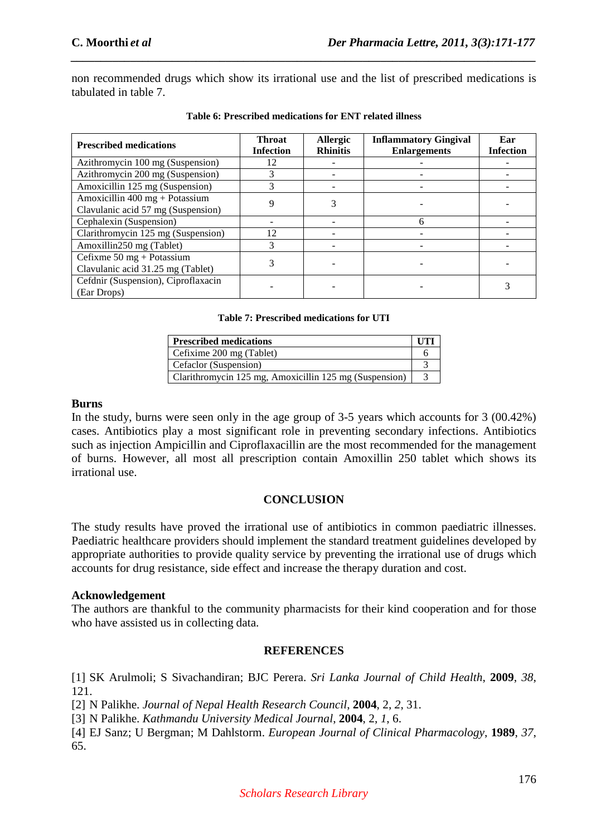non recommended drugs which show its irrational use and the list of prescribed medications is tabulated in table 7.

*\_\_\_\_\_\_\_\_\_\_\_\_\_\_\_\_\_\_\_\_\_\_\_\_\_\_\_\_\_\_\_\_\_\_\_\_\_\_\_\_\_\_\_\_\_\_\_\_\_\_\_\_\_\_\_\_\_\_\_\_\_\_\_\_\_\_\_\_\_\_\_\_\_\_\_\_\_\_*

| <b>Prescribed medications</b>                                                   | <b>Throat</b><br><b>Infection</b> | <b>Allergic</b><br><b>Rhinitis</b> | <b>Inflammatory Gingival</b><br><b>Enlargements</b> | Ear<br><b>Infection</b> |
|---------------------------------------------------------------------------------|-----------------------------------|------------------------------------|-----------------------------------------------------|-------------------------|
| Azithromycin 100 mg (Suspension)                                                | 12                                |                                    |                                                     |                         |
| Azithromycin 200 mg (Suspension)                                                | 3                                 |                                    |                                                     |                         |
| Amoxicillin 125 mg (Suspension)                                                 |                                   |                                    |                                                     |                         |
| Amoxicillin $400$ mg + Potassium<br>Clavulanic acid 57 mg (Suspension)          | Q                                 |                                    |                                                     |                         |
| Cephalexin (Suspension)                                                         |                                   |                                    | 6                                                   |                         |
| Clarithromycin 125 mg (Suspension)                                              | 12                                |                                    |                                                     |                         |
| Amoxillin250 mg (Tablet)                                                        |                                   |                                    |                                                     |                         |
| Cefixme $50 \text{ mg} + \text{Potassium}$<br>Clavulanic acid 31.25 mg (Tablet) |                                   |                                    |                                                     |                         |
| Cefdnir (Suspension), Ciproflaxacin<br>(Ear Drops)                              |                                   |                                    |                                                     |                         |

**Table 6: Prescribed medications for ENT related illness** 

#### **Table 7: Prescribed medications for UTI**

| <b>Prescribed medications</b>                          | UTI |
|--------------------------------------------------------|-----|
| Cefixime 200 mg (Tablet)                               |     |
| Cefaclor (Suspension)                                  |     |
| Clarithromycin 125 mg, Amoxicillin 125 mg (Suspension) |     |

#### **Burns**

In the study, burns were seen only in the age group of 3-5 years which accounts for 3 (00.42%) cases. Antibiotics play a most significant role in preventing secondary infections. Antibiotics such as injection Ampicillin and Ciproflaxacillin are the most recommended for the management of burns. However, all most all prescription contain Amoxillin 250 tablet which shows its irrational use.

## **CONCLUSION**

The study results have proved the irrational use of antibiotics in common paediatric illnesses. Paediatric healthcare providers should implement the standard treatment guidelines developed by appropriate authorities to provide quality service by preventing the irrational use of drugs which accounts for drug resistance, side effect and increase the therapy duration and cost.

## **Acknowledgement**

The authors are thankful to the community pharmacists for their kind cooperation and for those who have assisted us in collecting data.

# **REFERENCES**

[1] SK Arulmoli; S Sivachandiran; BJC Perera. *Sri Lanka Journal of Child Health*, **2009**, *38*, 121.

[2] N Palikhe. *Journal of Nepal Health Research Council*, **2004**, 2, *2*, 31.

[3] N Palikhe. *Kathmandu University Medical Journal*, **2004**, 2, *1*, 6.

[4] EJ Sanz; U Bergman; M Dahlstorm. *European Journal of Clinical Pharmacology*, **1989**, *37*, 65.